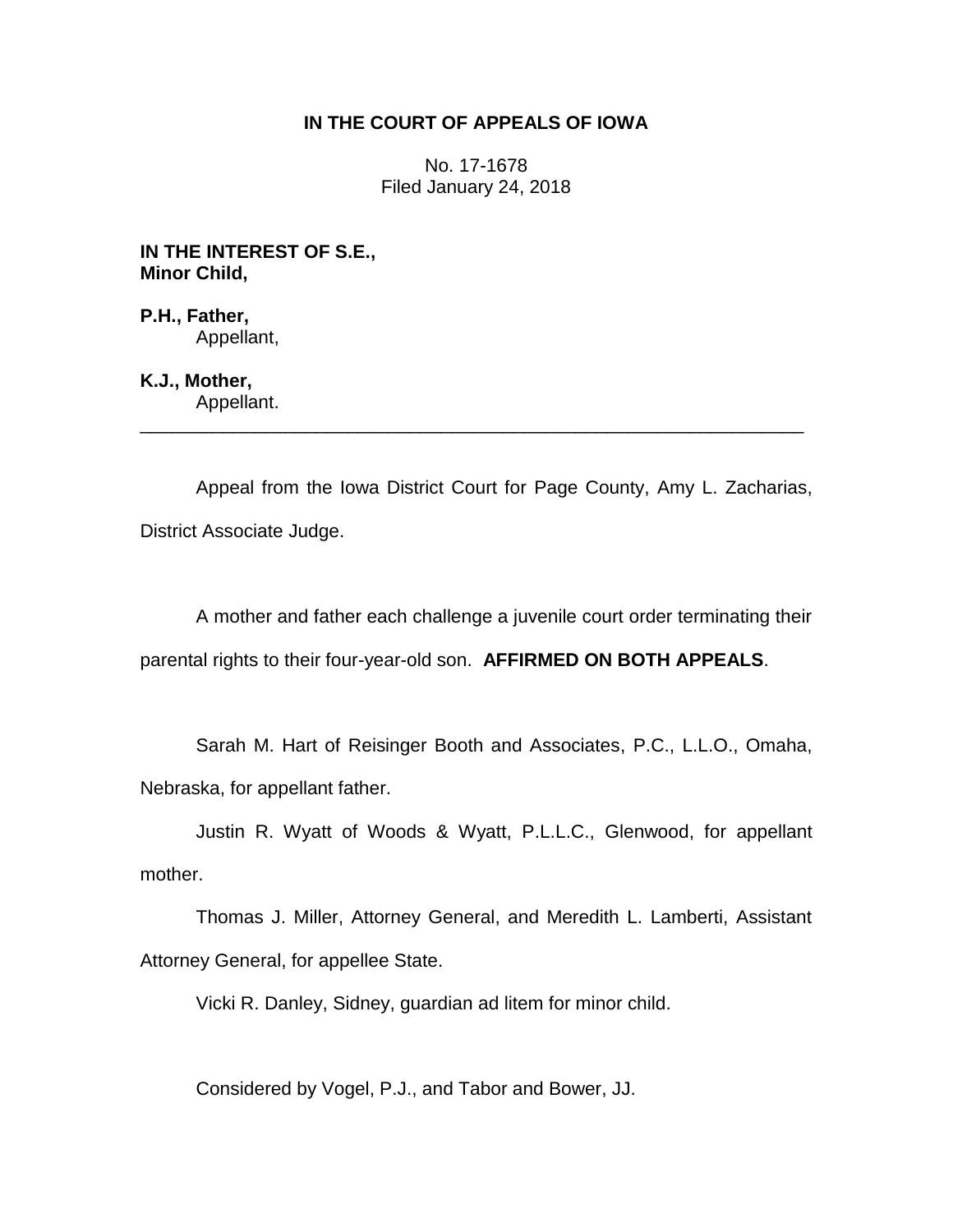# **IN THE COURT OF APPEALS OF IOWA**

No. 17-1678 Filed January 24, 2018

**IN THE INTEREST OF S.E., Minor Child,**

**P.H., Father,** Appellant,

**K.J., Mother,**

Appellant. \_\_\_\_\_\_\_\_\_\_\_\_\_\_\_\_\_\_\_\_\_\_\_\_\_\_\_\_\_\_\_\_\_\_\_\_\_\_\_\_\_\_\_\_\_\_\_\_\_\_\_\_\_\_\_\_\_\_\_\_\_\_\_\_

Appeal from the Iowa District Court for Page County, Amy L. Zacharias, District Associate Judge.

A mother and father each challenge a juvenile court order terminating their parental rights to their four-year-old son. **AFFIRMED ON BOTH APPEALS**.

Sarah M. Hart of Reisinger Booth and Associates, P.C., L.L.O., Omaha, Nebraska, for appellant father.

Justin R. Wyatt of Woods & Wyatt, P.L.L.C., Glenwood, for appellant mother.

Thomas J. Miller, Attorney General, and Meredith L. Lamberti, Assistant Attorney General, for appellee State.

Vicki R. Danley, Sidney, guardian ad litem for minor child.

Considered by Vogel, P.J., and Tabor and Bower, JJ.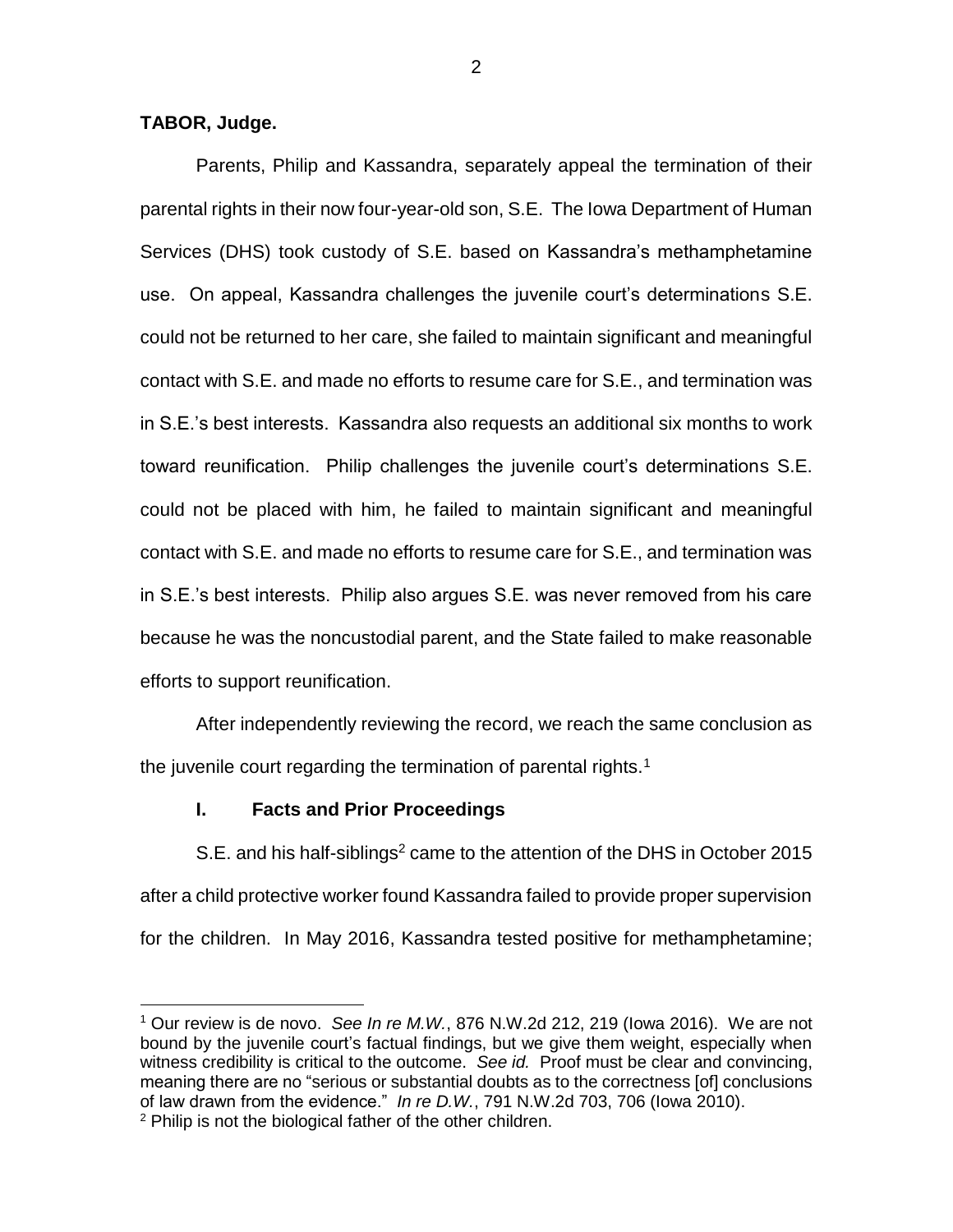### **TABOR, Judge.**

 $\overline{a}$ 

Parents, Philip and Kassandra, separately appeal the termination of their parental rights in their now four-year-old son, S.E. The Iowa Department of Human Services (DHS) took custody of S.E. based on Kassandra's methamphetamine use. On appeal, Kassandra challenges the juvenile court's determinations S.E. could not be returned to her care, she failed to maintain significant and meaningful contact with S.E. and made no efforts to resume care for S.E., and termination was in S.E.'s best interests. Kassandra also requests an additional six months to work toward reunification. Philip challenges the juvenile court's determinations S.E. could not be placed with him, he failed to maintain significant and meaningful contact with S.E. and made no efforts to resume care for S.E., and termination was in S.E.'s best interests. Philip also argues S.E. was never removed from his care because he was the noncustodial parent, and the State failed to make reasonable efforts to support reunification.

After independently reviewing the record, we reach the same conclusion as the juvenile court regarding the termination of parental rights.<sup>1</sup>

## **I. Facts and Prior Proceedings**

S.E. and his half-siblings<sup>2</sup> came to the attention of the DHS in October 2015 after a child protective worker found Kassandra failed to provide proper supervision for the children. In May 2016, Kassandra tested positive for methamphetamine;

<sup>1</sup> Our review is de novo. *See In re M.W.*, 876 N.W.2d 212, 219 (Iowa 2016). We are not bound by the juvenile court's factual findings, but we give them weight, especially when witness credibility is critical to the outcome. *See id.* Proof must be clear and convincing, meaning there are no "serious or substantial doubts as to the correctness [of] conclusions of law drawn from the evidence." *In re D.W.*, 791 N.W.2d 703, 706 (Iowa 2010). <sup>2</sup> Philip is not the biological father of the other children.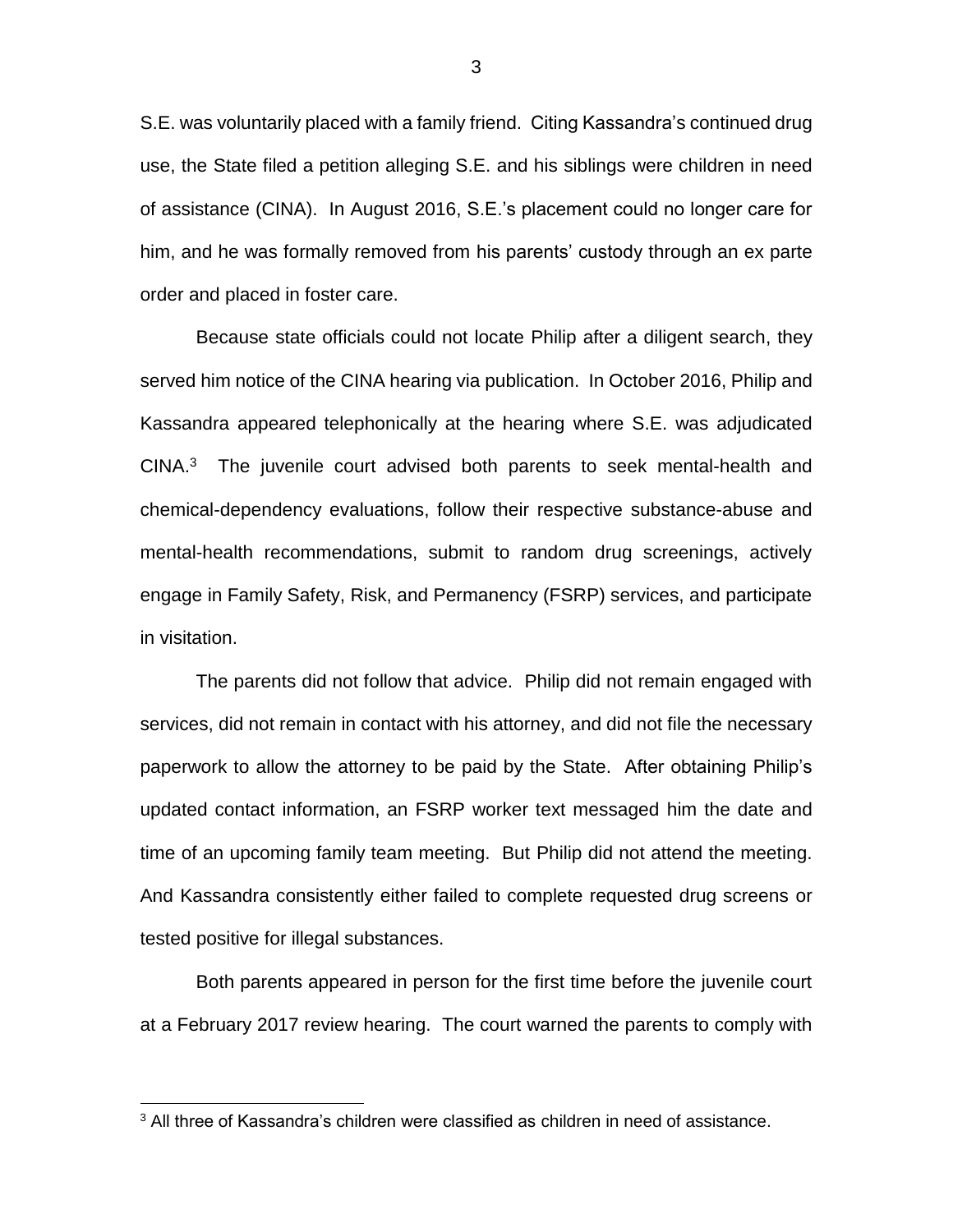S.E. was voluntarily placed with a family friend. Citing Kassandra's continued drug use, the State filed a petition alleging S.E. and his siblings were children in need of assistance (CINA). In August 2016, S.E.'s placement could no longer care for him, and he was formally removed from his parents' custody through an ex parte order and placed in foster care.

Because state officials could not locate Philip after a diligent search, they served him notice of the CINA hearing via publication. In October 2016, Philip and Kassandra appeared telephonically at the hearing where S.E. was adjudicated  $CINA.$ <sup>3</sup> The juvenile court advised both parents to seek mental-health and chemical-dependency evaluations, follow their respective substance-abuse and mental-health recommendations, submit to random drug screenings, actively engage in Family Safety, Risk, and Permanency (FSRP) services, and participate in visitation.

The parents did not follow that advice. Philip did not remain engaged with services, did not remain in contact with his attorney, and did not file the necessary paperwork to allow the attorney to be paid by the State. After obtaining Philip's updated contact information, an FSRP worker text messaged him the date and time of an upcoming family team meeting. But Philip did not attend the meeting. And Kassandra consistently either failed to complete requested drug screens or tested positive for illegal substances.

Both parents appeared in person for the first time before the juvenile court at a February 2017 review hearing. The court warned the parents to comply with

 $\overline{a}$ 

3

 $3$  All three of Kassandra's children were classified as children in need of assistance.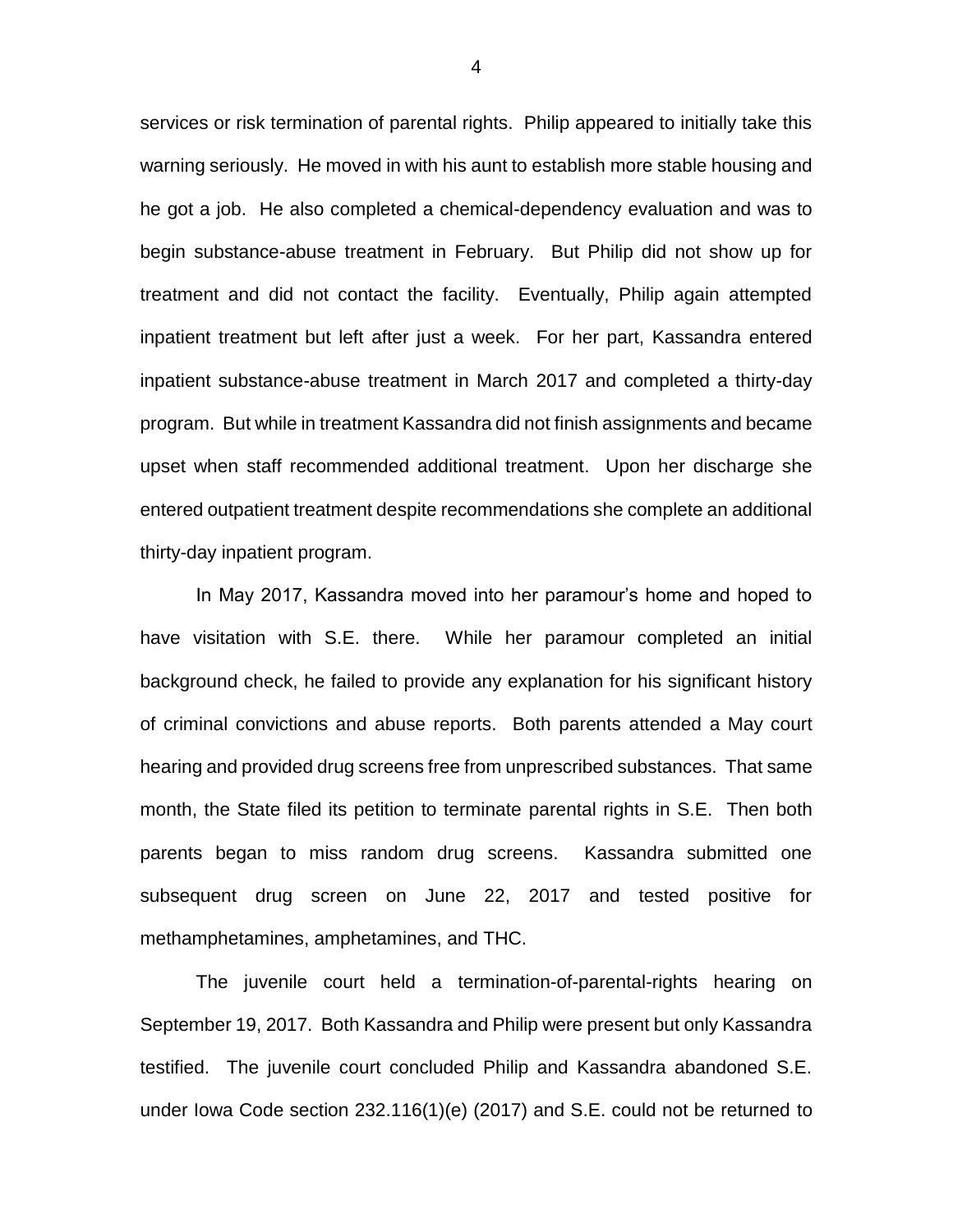services or risk termination of parental rights. Philip appeared to initially take this warning seriously. He moved in with his aunt to establish more stable housing and he got a job. He also completed a chemical-dependency evaluation and was to begin substance-abuse treatment in February. But Philip did not show up for treatment and did not contact the facility. Eventually, Philip again attempted inpatient treatment but left after just a week. For her part, Kassandra entered inpatient substance-abuse treatment in March 2017 and completed a thirty-day program. But while in treatment Kassandra did not finish assignments and became upset when staff recommended additional treatment. Upon her discharge she entered outpatient treatment despite recommendations she complete an additional thirty-day inpatient program.

In May 2017, Kassandra moved into her paramour's home and hoped to have visitation with S.E. there. While her paramour completed an initial background check, he failed to provide any explanation for his significant history of criminal convictions and abuse reports. Both parents attended a May court hearing and provided drug screens free from unprescribed substances. That same month, the State filed its petition to terminate parental rights in S.E. Then both parents began to miss random drug screens. Kassandra submitted one subsequent drug screen on June 22, 2017 and tested positive for methamphetamines, amphetamines, and THC.

The juvenile court held a termination-of-parental-rights hearing on September 19, 2017. Both Kassandra and Philip were present but only Kassandra testified. The juvenile court concluded Philip and Kassandra abandoned S.E. under Iowa Code section 232.116(1)(e) (2017) and S.E. could not be returned to

4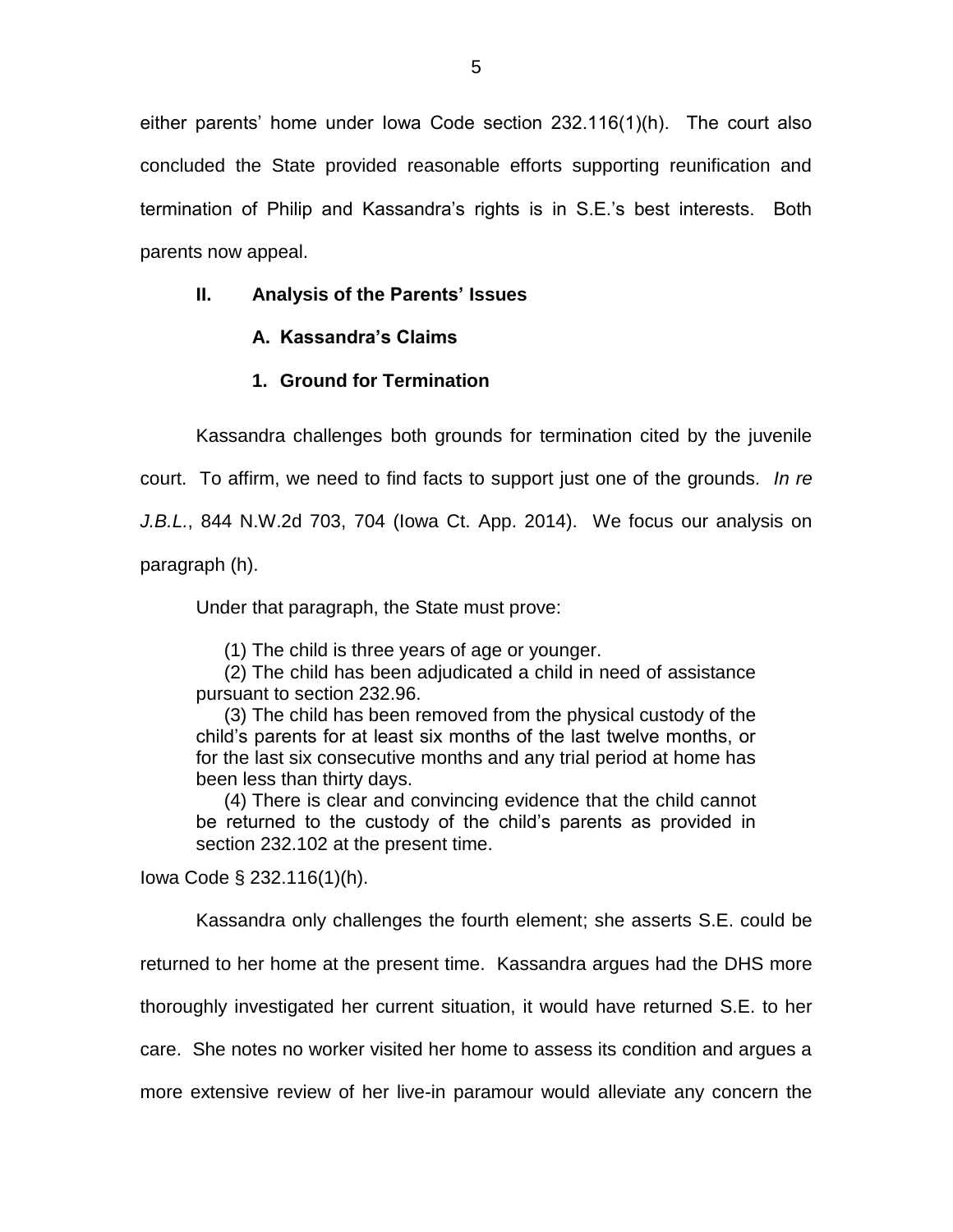either parents' home under Iowa Code section 232.116(1)(h). The court also concluded the State provided reasonable efforts supporting reunification and termination of Philip and Kassandra's rights is in S.E.'s best interests. Both parents now appeal.

# **II. Analysis of the Parents' Issues**

# **A. Kassandra's Claims**

# **1. Ground for Termination**

Kassandra challenges both grounds for termination cited by the juvenile court. To affirm, we need to find facts to support just one of the grounds*. In re J.B.L.*, 844 N.W.2d 703, 704 (Iowa Ct. App. 2014). We focus our analysis on

paragraph (h).

Under that paragraph, the State must prove:

(1) The child is three years of age or younger.

(2) The child has been adjudicated a child in need of assistance pursuant to section 232.96.

(3) The child has been removed from the physical custody of the child's parents for at least six months of the last twelve months, or for the last six consecutive months and any trial period at home has been less than thirty days.

(4) There is clear and convincing evidence that the child cannot be returned to the custody of the child's parents as provided in section 232.102 at the present time.

Iowa Code § 232.116(1)(h).

Kassandra only challenges the fourth element; she asserts S.E. could be

returned to her home at the present time. Kassandra argues had the DHS more

thoroughly investigated her current situation, it would have returned S.E. to her

care. She notes no worker visited her home to assess its condition and argues a

more extensive review of her live-in paramour would alleviate any concern the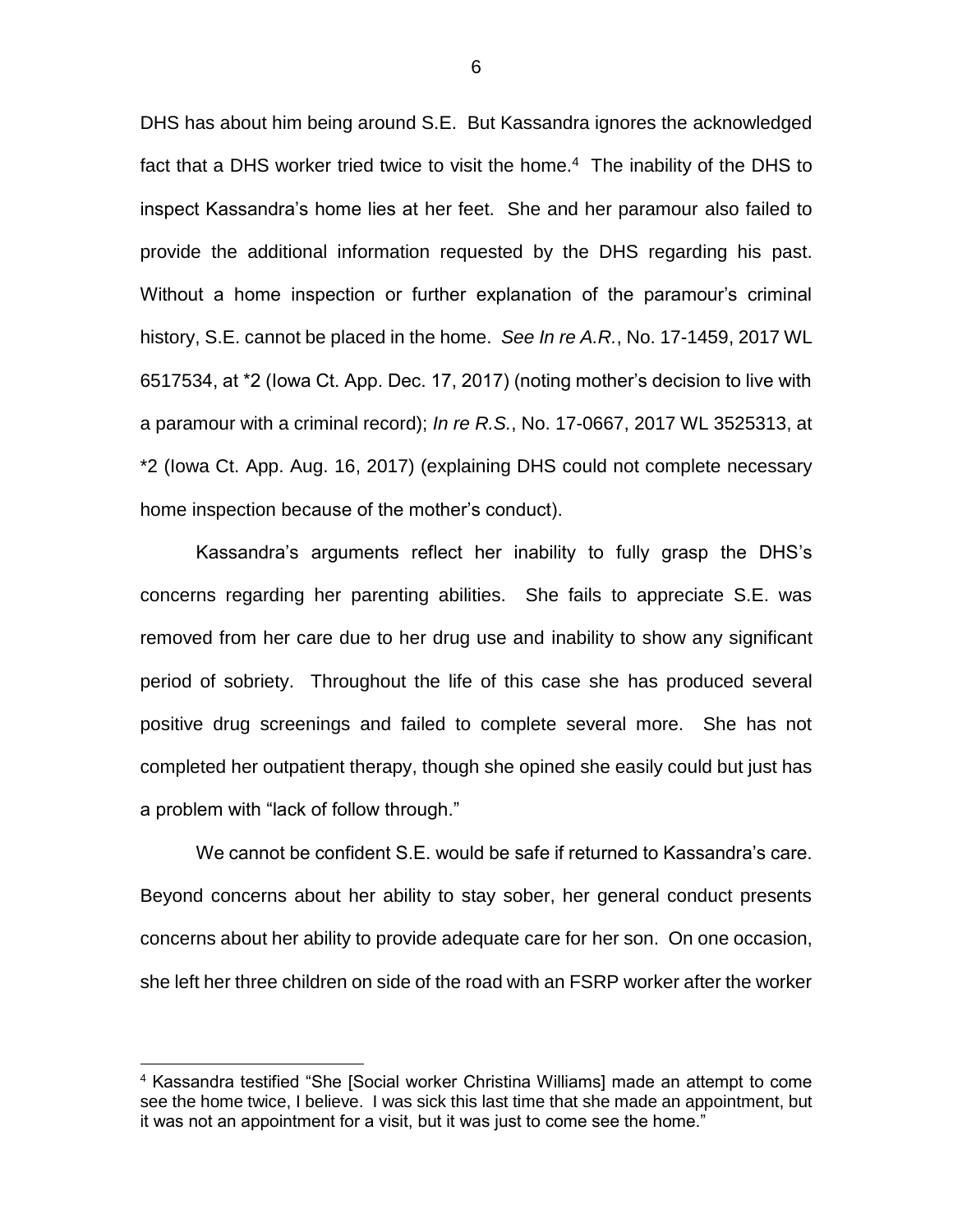DHS has about him being around S.E. But Kassandra ignores the acknowledged fact that a DHS worker tried twice to visit the home.<sup>4</sup> The inability of the DHS to inspect Kassandra's home lies at her feet. She and her paramour also failed to provide the additional information requested by the DHS regarding his past. Without a home inspection or further explanation of the paramour's criminal history, S.E. cannot be placed in the home. *See In re A.R.*, No. 17-1459, 2017 WL 6517534, at \*2 (Iowa Ct. App. Dec. 17, 2017) (noting mother's decision to live with a paramour with a criminal record); *In re R.S.*, No. 17-0667, 2017 WL 3525313, at \*2 (Iowa Ct. App. Aug. 16, 2017) (explaining DHS could not complete necessary home inspection because of the mother's conduct).

Kassandra's arguments reflect her inability to fully grasp the DHS's concerns regarding her parenting abilities. She fails to appreciate S.E. was removed from her care due to her drug use and inability to show any significant period of sobriety. Throughout the life of this case she has produced several positive drug screenings and failed to complete several more. She has not completed her outpatient therapy, though she opined she easily could but just has a problem with "lack of follow through."

We cannot be confident S.E. would be safe if returned to Kassandra's care. Beyond concerns about her ability to stay sober, her general conduct presents concerns about her ability to provide adequate care for her son. On one occasion, she left her three children on side of the road with an FSRP worker after the worker

 $\overline{a}$ 

<sup>4</sup> Kassandra testified "She [Social worker Christina Williams] made an attempt to come see the home twice, I believe. I was sick this last time that she made an appointment, but it was not an appointment for a visit, but it was just to come see the home."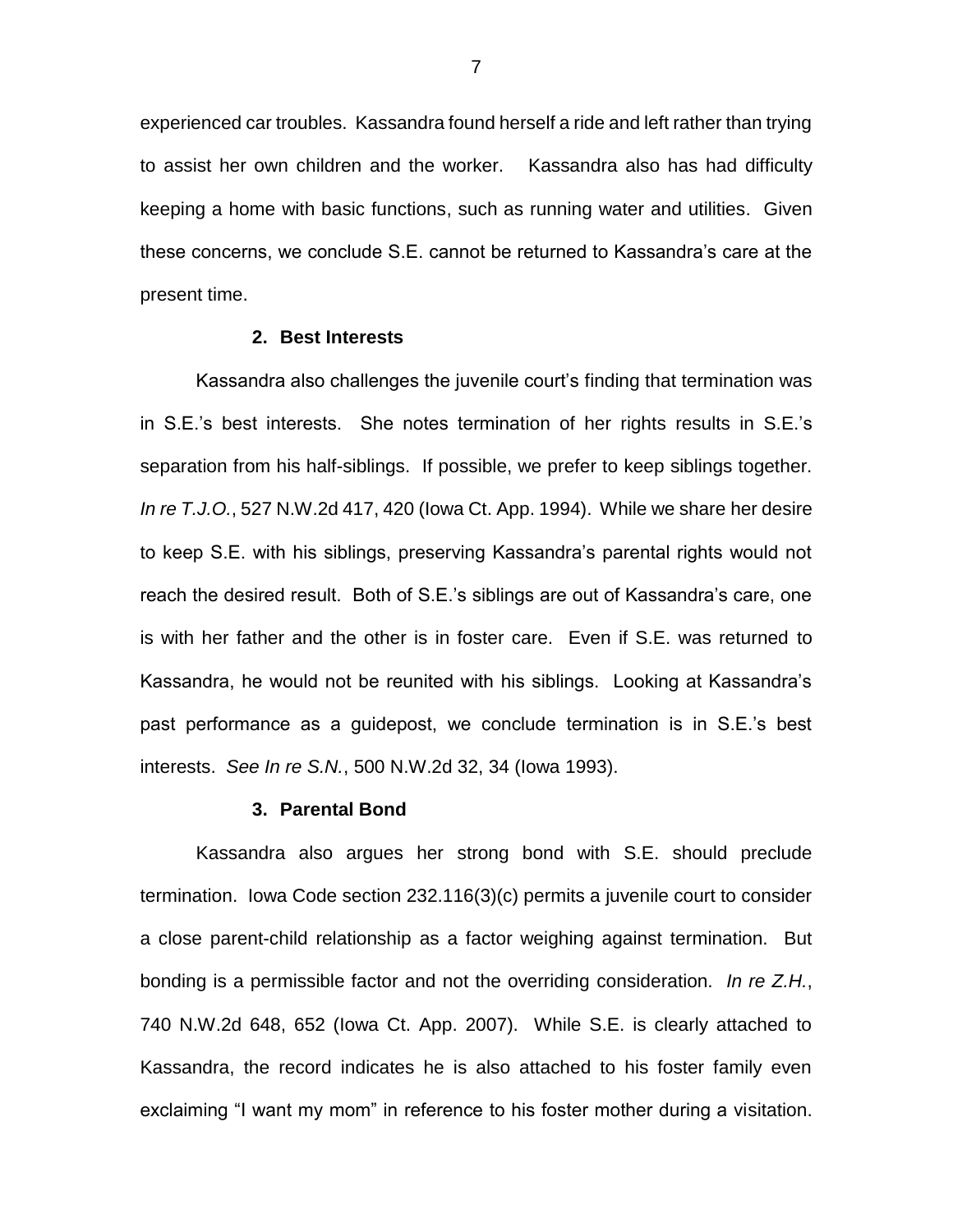experienced car troubles. Kassandra found herself a ride and left rather than trying to assist her own children and the worker. Kassandra also has had difficulty keeping a home with basic functions, such as running water and utilities. Given these concerns, we conclude S.E. cannot be returned to Kassandra's care at the present time.

### **2. Best Interests**

Kassandra also challenges the juvenile court's finding that termination was in S.E.'s best interests. She notes termination of her rights results in S.E.'s separation from his half-siblings. If possible, we prefer to keep siblings together. *In re T.J.O.*, 527 N.W.2d 417, 420 (Iowa Ct. App. 1994). While we share her desire to keep S.E. with his siblings, preserving Kassandra's parental rights would not reach the desired result. Both of S.E.'s siblings are out of Kassandra's care, one is with her father and the other is in foster care. Even if S.E. was returned to Kassandra, he would not be reunited with his siblings. Looking at Kassandra's past performance as a guidepost, we conclude termination is in S.E.'s best interests. *See In re S.N.*, 500 N.W.2d 32, 34 (Iowa 1993).

#### **3. Parental Bond**

Kassandra also argues her strong bond with S.E. should preclude termination. Iowa Code section 232.116(3)(c) permits a juvenile court to consider a close parent-child relationship as a factor weighing against termination. But bonding is a permissible factor and not the overriding consideration. *In re Z.H.*, 740 N.W.2d 648, 652 (Iowa Ct. App. 2007). While S.E. is clearly attached to Kassandra, the record indicates he is also attached to his foster family even exclaiming "I want my mom" in reference to his foster mother during a visitation.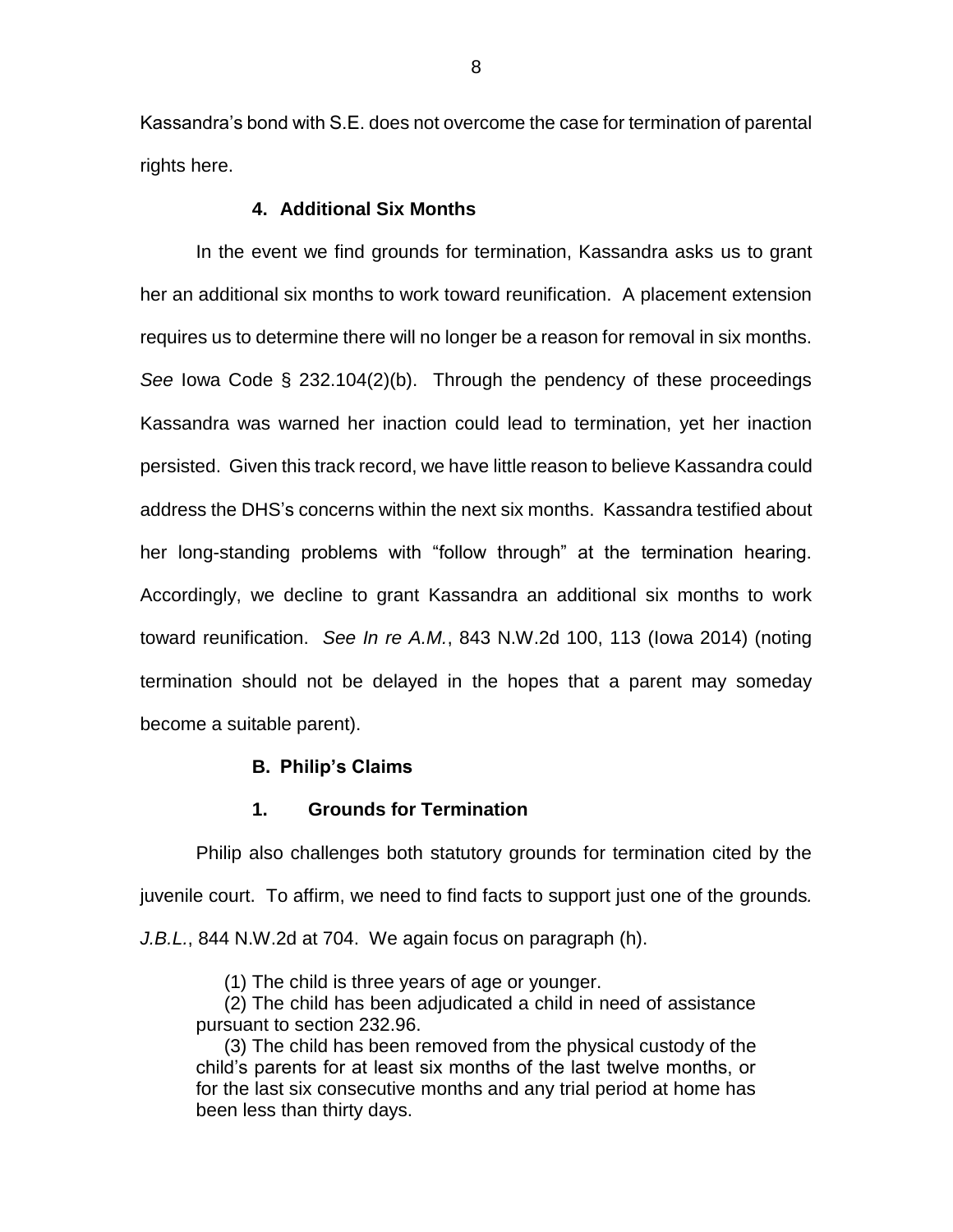Kassandra's bond with S.E. does not overcome the case for termination of parental rights here.

### **4. Additional Six Months**

In the event we find grounds for termination, Kassandra asks us to grant her an additional six months to work toward reunification. A placement extension requires us to determine there will no longer be a reason for removal in six months. *See* Iowa Code § 232.104(2)(b). Through the pendency of these proceedings Kassandra was warned her inaction could lead to termination, yet her inaction persisted. Given this track record, we have little reason to believe Kassandra could address the DHS's concerns within the next six months. Kassandra testified about her long-standing problems with "follow through" at the termination hearing. Accordingly, we decline to grant Kassandra an additional six months to work toward reunification. *See In re A.M.*, 843 N.W.2d 100, 113 (Iowa 2014) (noting termination should not be delayed in the hopes that a parent may someday become a suitable parent).

### **B. Philip's Claims**

### **1. Grounds for Termination**

Philip also challenges both statutory grounds for termination cited by the juvenile court. To affirm, we need to find facts to support just one of the grounds*. J.B.L.*, 844 N.W.2d at 704. We again focus on paragraph (h).

(1) The child is three years of age or younger.

(2) The child has been adjudicated a child in need of assistance pursuant to section 232.96.

(3) The child has been removed from the physical custody of the child's parents for at least six months of the last twelve months, or for the last six consecutive months and any trial period at home has been less than thirty days.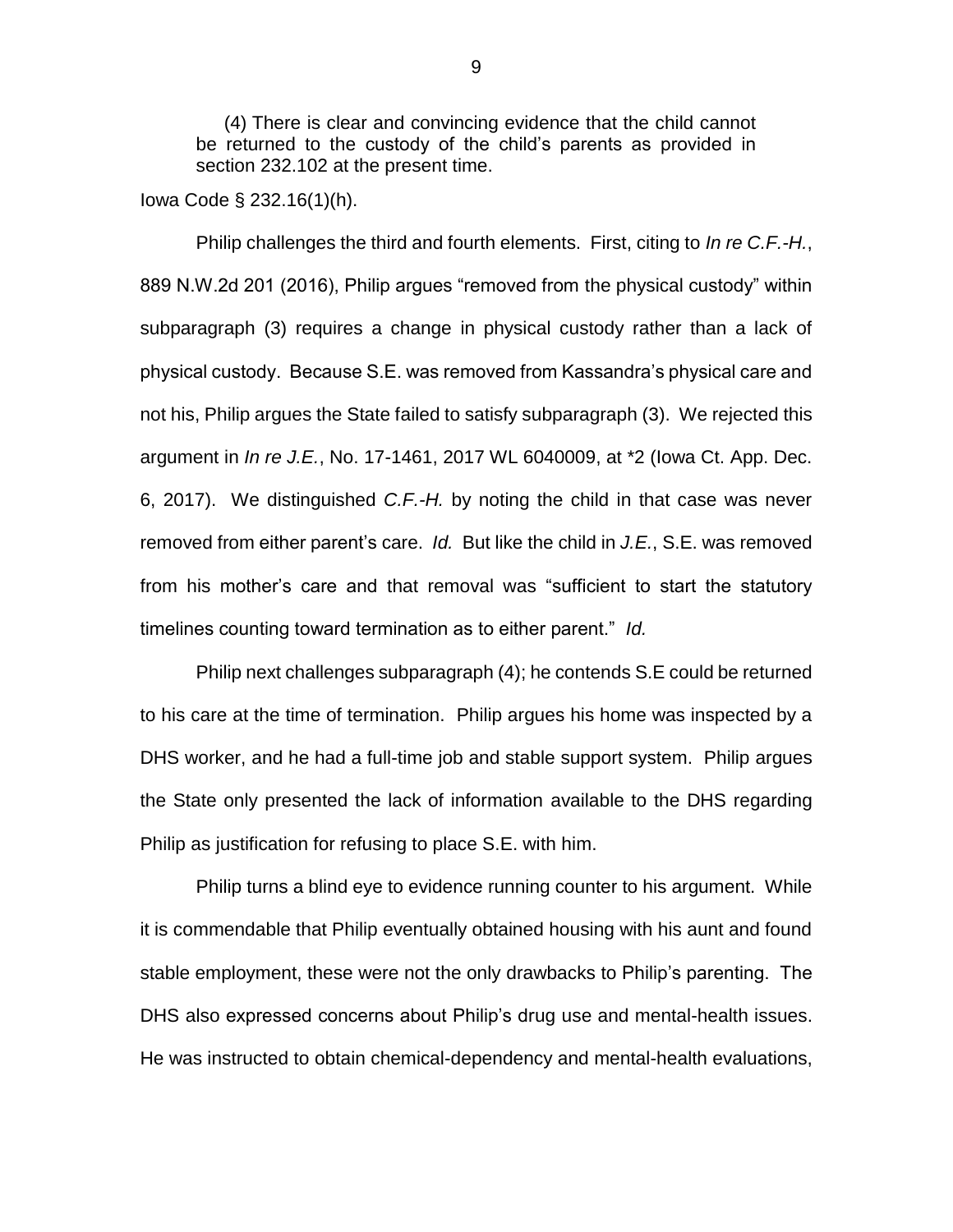(4) There is clear and convincing evidence that the child cannot be returned to the custody of the child's parents as provided in section 232.102 at the present time.

Iowa Code § 232.16(1)(h).

Philip challenges the third and fourth elements. First, citing to *In re C.F.-H.*, 889 N.W.2d 201 (2016), Philip argues "removed from the physical custody" within subparagraph (3) requires a change in physical custody rather than a lack of physical custody. Because S.E. was removed from Kassandra's physical care and not his, Philip argues the State failed to satisfy subparagraph (3). We rejected this argument in *In re J.E.*, No. 17-1461, 2017 WL 6040009, at \*2 (Iowa Ct. App. Dec. 6, 2017). We distinguished *C.F.-H.* by noting the child in that case was never removed from either parent's care. *Id.* But like the child in *J.E.*, S.E. was removed from his mother's care and that removal was "sufficient to start the statutory timelines counting toward termination as to either parent." *Id.*

Philip next challenges subparagraph (4); he contends S.E could be returned to his care at the time of termination. Philip argues his home was inspected by a DHS worker, and he had a full-time job and stable support system. Philip argues the State only presented the lack of information available to the DHS regarding Philip as justification for refusing to place S.E. with him.

Philip turns a blind eye to evidence running counter to his argument. While it is commendable that Philip eventually obtained housing with his aunt and found stable employment, these were not the only drawbacks to Philip's parenting. The DHS also expressed concerns about Philip's drug use and mental-health issues. He was instructed to obtain chemical-dependency and mental-health evaluations,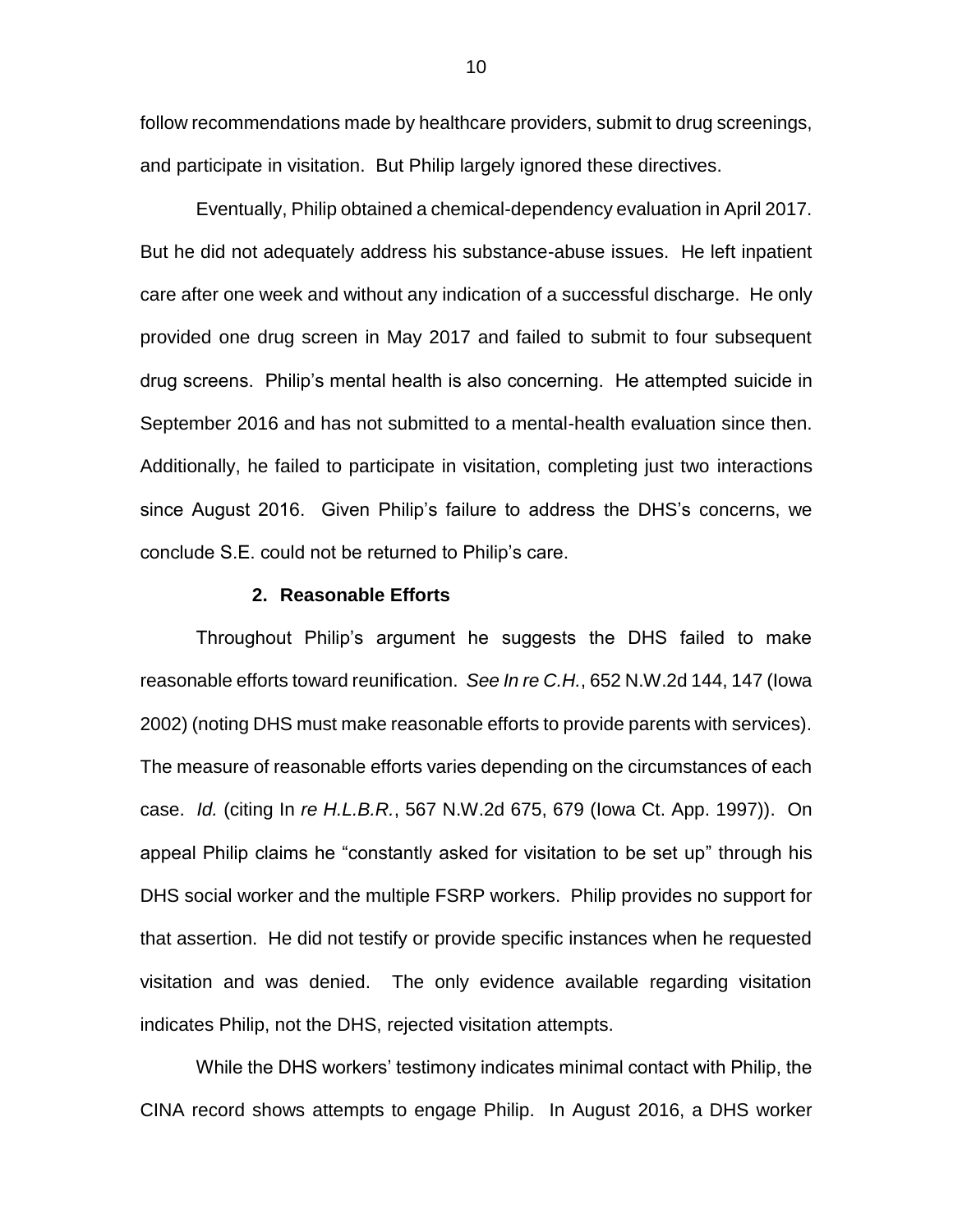follow recommendations made by healthcare providers, submit to drug screenings, and participate in visitation. But Philip largely ignored these directives.

Eventually, Philip obtained a chemical-dependency evaluation in April 2017. But he did not adequately address his substance-abuse issues. He left inpatient care after one week and without any indication of a successful discharge. He only provided one drug screen in May 2017 and failed to submit to four subsequent drug screens. Philip's mental health is also concerning. He attempted suicide in September 2016 and has not submitted to a mental-health evaluation since then. Additionally, he failed to participate in visitation, completing just two interactions since August 2016. Given Philip's failure to address the DHS's concerns, we conclude S.E. could not be returned to Philip's care.

### **2. Reasonable Efforts**

Throughout Philip's argument he suggests the DHS failed to make reasonable efforts toward reunification. *See In re C.H.*, 652 N.W.2d 144, 147 (Iowa 2002) (noting DHS must make reasonable efforts to provide parents with services). The measure of reasonable efforts varies depending on the circumstances of each case. *Id.* (citing In *re H.L.B.R.*, 567 N.W.2d 675, 679 (Iowa Ct. App. 1997)). On appeal Philip claims he "constantly asked for visitation to be set up" through his DHS social worker and the multiple FSRP workers. Philip provides no support for that assertion. He did not testify or provide specific instances when he requested visitation and was denied. The only evidence available regarding visitation indicates Philip, not the DHS, rejected visitation attempts.

While the DHS workers' testimony indicates minimal contact with Philip, the CINA record shows attempts to engage Philip. In August 2016, a DHS worker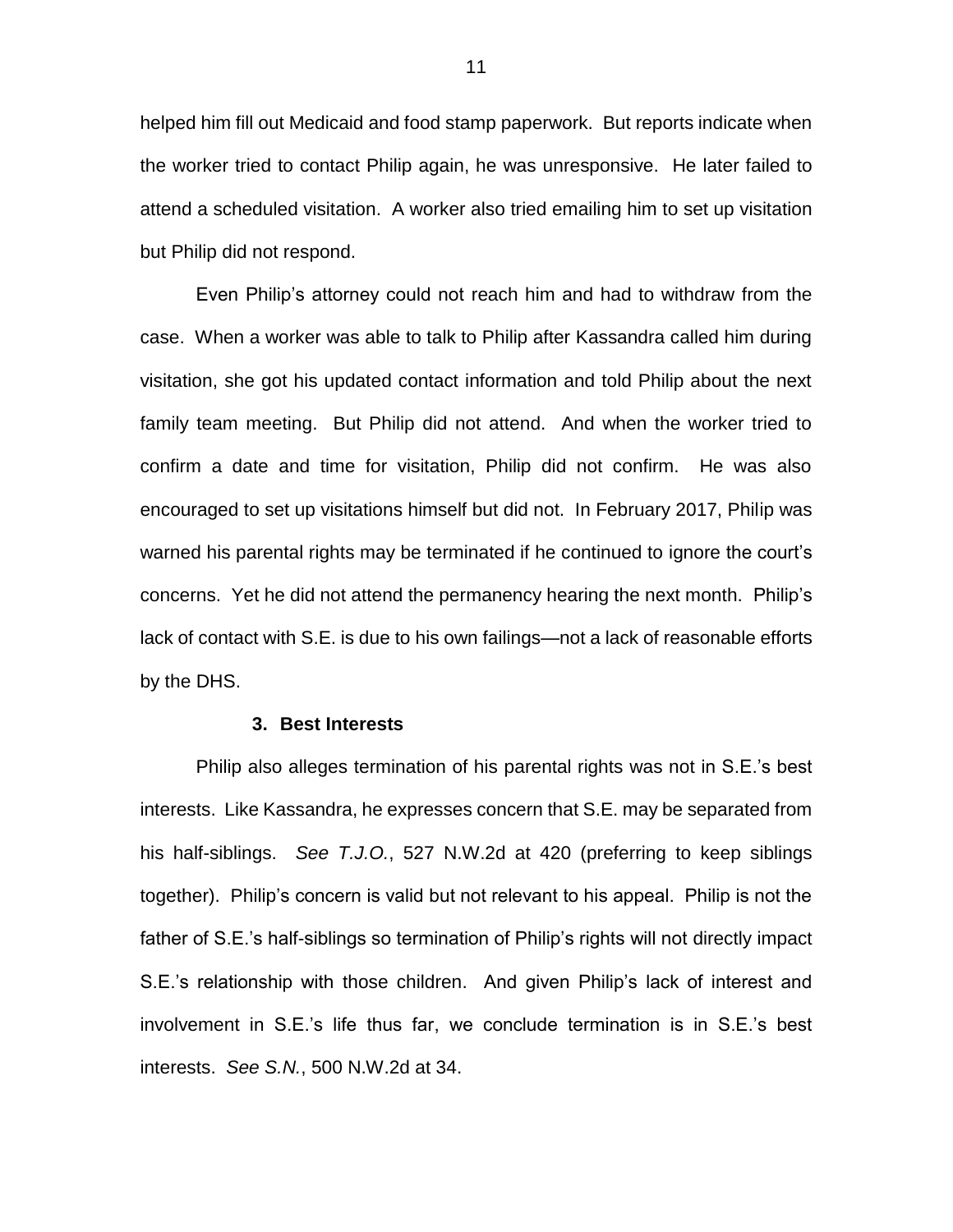helped him fill out Medicaid and food stamp paperwork. But reports indicate when the worker tried to contact Philip again, he was unresponsive. He later failed to attend a scheduled visitation. A worker also tried emailing him to set up visitation but Philip did not respond.

Even Philip's attorney could not reach him and had to withdraw from the case. When a worker was able to talk to Philip after Kassandra called him during visitation, she got his updated contact information and told Philip about the next family team meeting. But Philip did not attend. And when the worker tried to confirm a date and time for visitation, Philip did not confirm. He was also encouraged to set up visitations himself but did not. In February 2017, Philip was warned his parental rights may be terminated if he continued to ignore the court's concerns. Yet he did not attend the permanency hearing the next month. Philip's lack of contact with S.E. is due to his own failings—not a lack of reasonable efforts by the DHS.

### **3. Best Interests**

Philip also alleges termination of his parental rights was not in S.E.'s best interests. Like Kassandra, he expresses concern that S.E. may be separated from his half-siblings. *See T.J.O.*, 527 N.W.2d at 420 (preferring to keep siblings together). Philip's concern is valid but not relevant to his appeal. Philip is not the father of S.E.'s half-siblings so termination of Philip's rights will not directly impact S.E.'s relationship with those children. And given Philip's lack of interest and involvement in S.E.'s life thus far, we conclude termination is in S.E.'s best interests. *See S.N.*, 500 N.W.2d at 34.